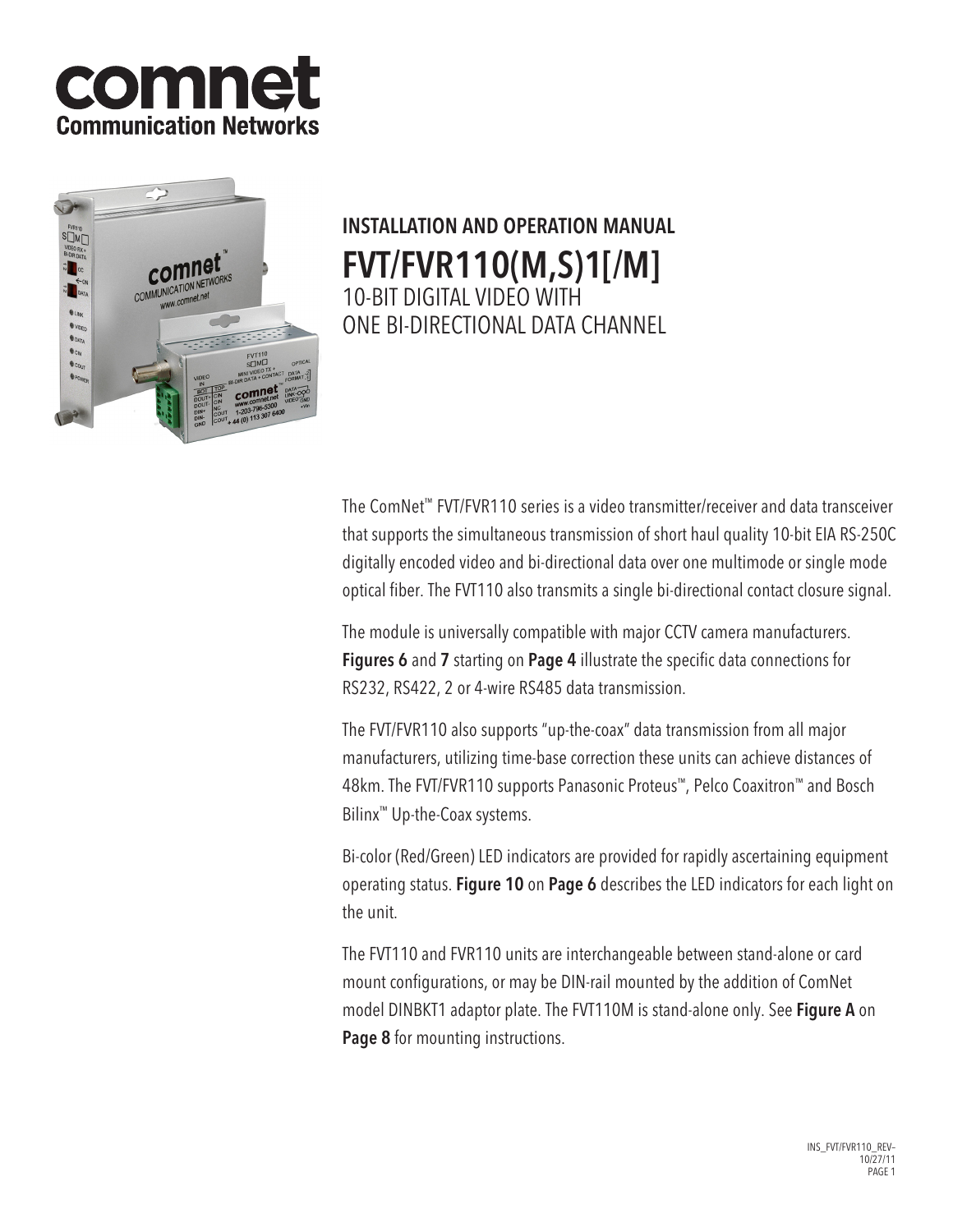



# INSTALLATION AND OPERATION MANUAL FVT/FVR110(M,S)1[/M] 10-BIT DIGITAL VIDEO WITH ONE BI-DIRECTIONAL DATA CHANNEL

The ComNet™ FVT/FVR110 series is a video transmitter/receiver and data transceiver that supports the simultaneous transmission of short haul quality 10-bit EIA RS-250C digitally encoded video and bi-directional data over one multimode or single mode optical fiber. The FVT110 also transmits a single bi-directional contact closure signal.

The module is universally compatible with major CCTV camera manufacturers. Figures 6 and 7 starting on Page 4 illustrate the specific data connections for RS232, RS422, 2 or 4-wire RS485 data transmission.

The FVT/FVR110 also supports "up-the-coax" data transmission from all major manufacturers, utilizing time-base correction these units can achieve distances of 48km. The FVT/FVR110 supports Panasonic Proteus™, Pelco Coaxitron™ and Bosch Bilinx™ Up-the-Coax systems.

Bi-color (Red/Green) LED indicators are provided for rapidly ascertaining equipment operating status. Figure 10 on Page 6 describes the LED indicators for each light on the unit.

The FVT110 and FVR110 units are interchangeable between stand-alone or card mount configurations, or may be DIN-rail mounted by the addition of ComNet model DINBKT1 adaptor plate. The FVT110M is stand-alone only. See Figure A on Page 8 for mounting instructions.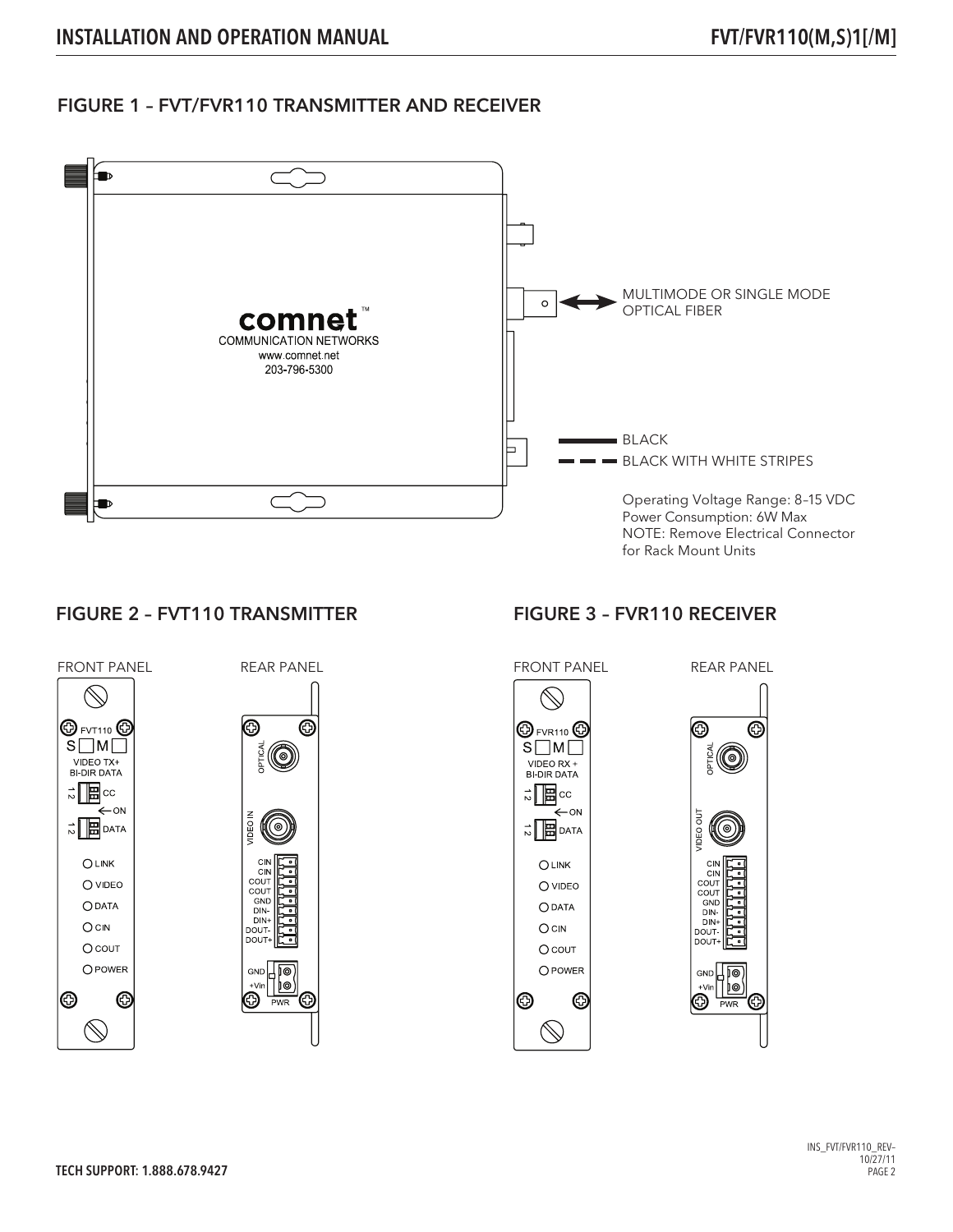### FIGURE 1 – FVT/FVR110 TRANSMITTER AND RECEIVER



#### FIGURE 2 – FVT110 TRANSMITTER





C

## FIGURE 3 – FVR110 RECEIVER





INS\_FVT/FVR110\_REV–  $10/27/11$ PAGE 2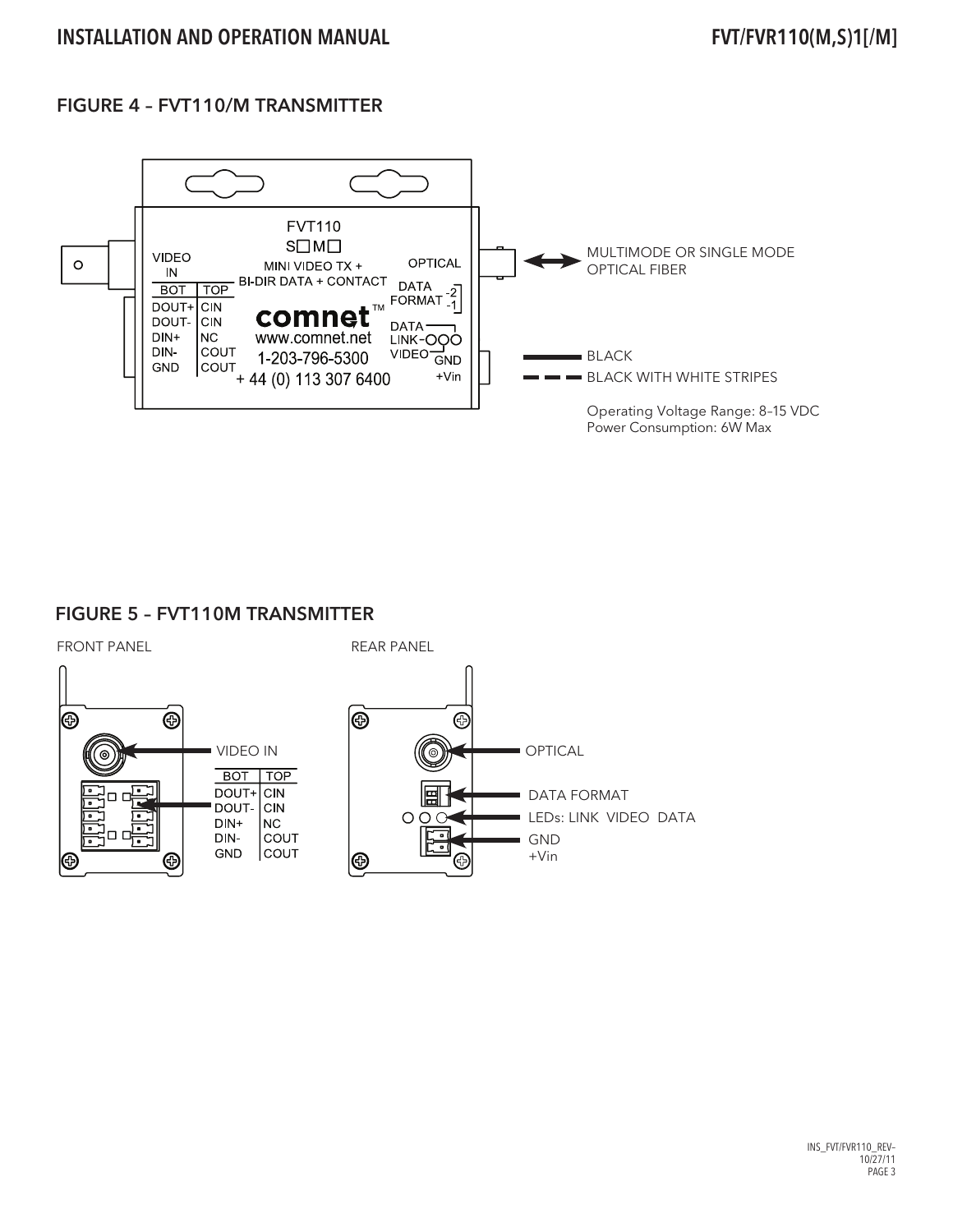## FIGURE 4 – FVT110/M TRANSMITTER



#### FIGURE 5 – FVT110M TRANSMITTER



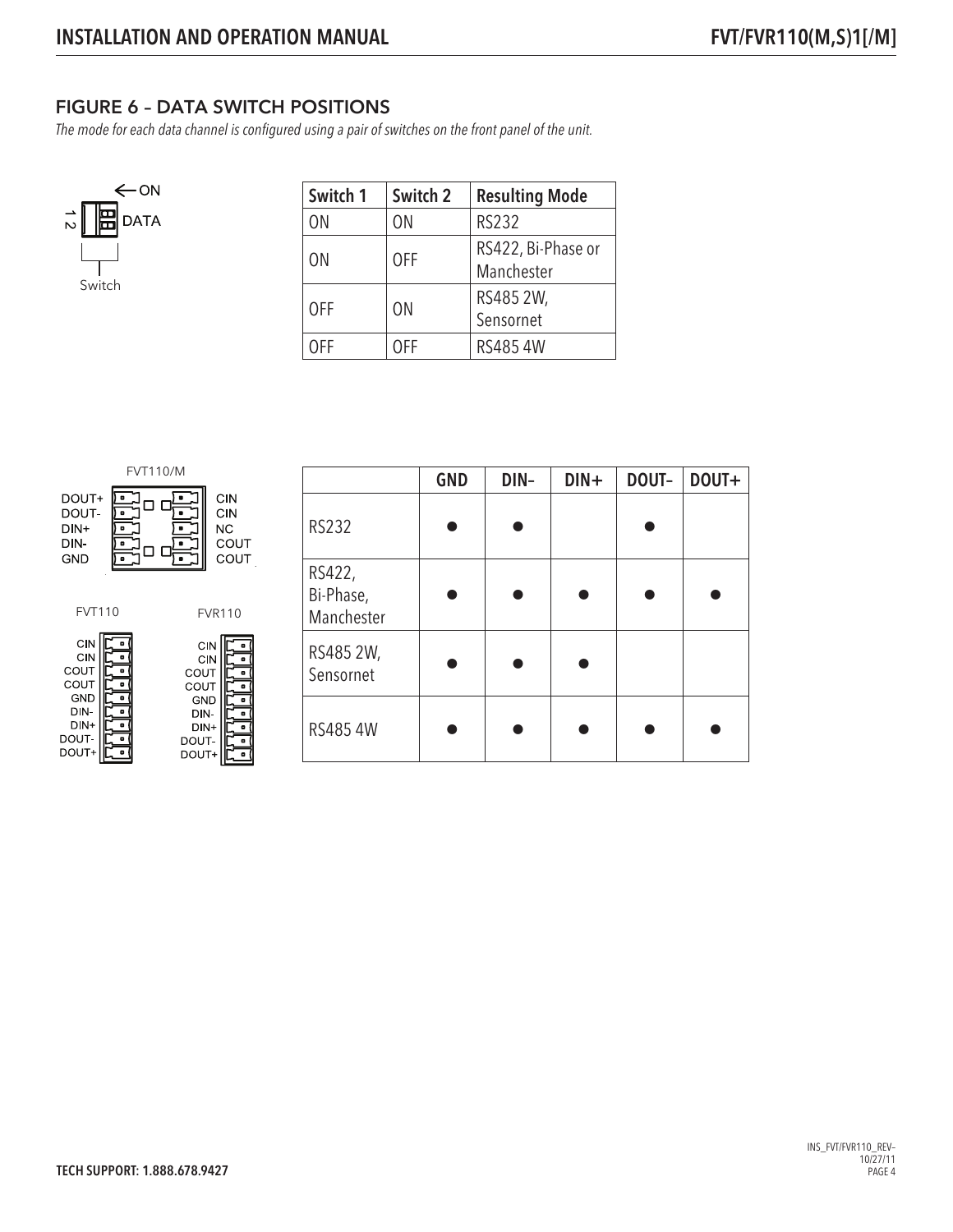## FIGURE 6 – DATA SWITCH POSITIONS

The mode for each data channel is configured using a pair of switches on the front panel of the unit.



| Switch 1   | Switch 2   | <b>Resulting Mode</b>            |  |
|------------|------------|----------------------------------|--|
| ΟN         | ON         | <b>RS232</b>                     |  |
| ON         | <b>OFF</b> | RS422, Bi-Phase or<br>Manchester |  |
| <b>OFF</b> | <b>ON</b>  | RS485 2W,<br>Sensornet           |  |
| OFF        | 0FF        | RS4854W                          |  |

| <b>FVT110/M</b>                                   |                                 |                                                  |                                            |  |
|---------------------------------------------------|---------------------------------|--------------------------------------------------|--------------------------------------------|--|
| DOUT+<br>DOUT-<br>$DIN+$<br>DIN-<br><b>GND</b>    | ٠<br>۰<br>۰<br>۰                |                                                  | CIN<br>CIN<br><b>NC</b><br>COUT<br>COUT    |  |
| <b>FVT110</b>                                     |                                 |                                                  | <b>FVR110</b>                              |  |
| CIN<br>CIN<br>COUT<br>COUT<br>GND<br>DIN.<br>DIN+ | n<br>o<br>o<br>o<br>۰<br>۰<br>o | COUT<br>COUT<br><b>GND</b><br>DN-<br><b>DINI</b> | <b>CIN</b><br>٠<br>CIN<br>٠<br>п<br>٠<br>۰ |  |

DOUT-

DOUT+

ø

DOUT-<br>DOUT+

ٵ

|                                   | <b>GND</b> | DIN- | $DIN +$ | DOUT- | DOUT+ |
|-----------------------------------|------------|------|---------|-------|-------|
| <b>RS232</b>                      |            |      |         |       |       |
| RS422,<br>Bi-Phase,<br>Manchester |            |      |         |       |       |
| RS485 2W,<br>Sensornet            |            |      |         |       |       |
| RS485 4W                          |            |      |         |       |       |

INS\_FVT/FVR110\_REV– 10/27/11 PAGE 4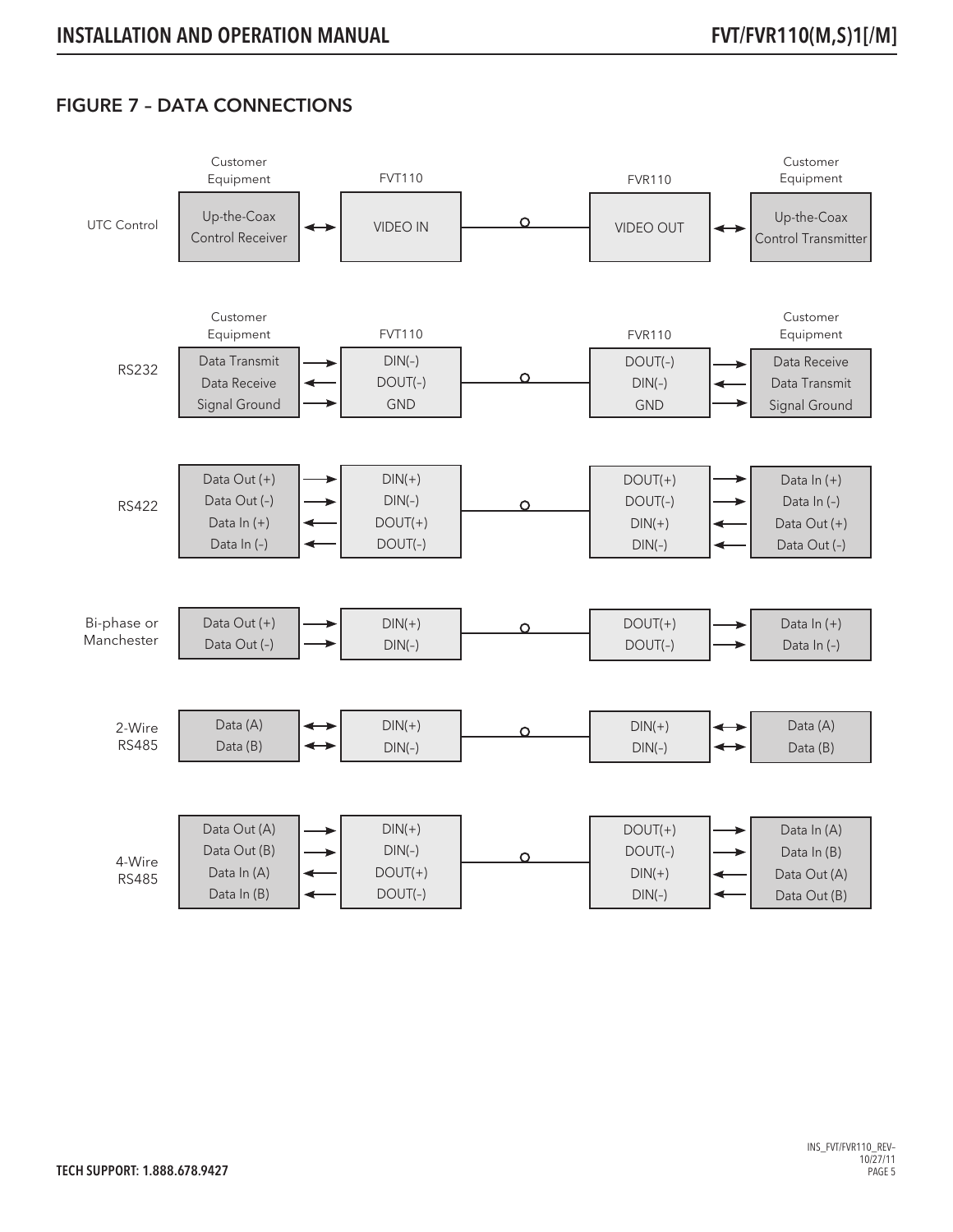## FIGURE 7 – DATA CONNECTIONS

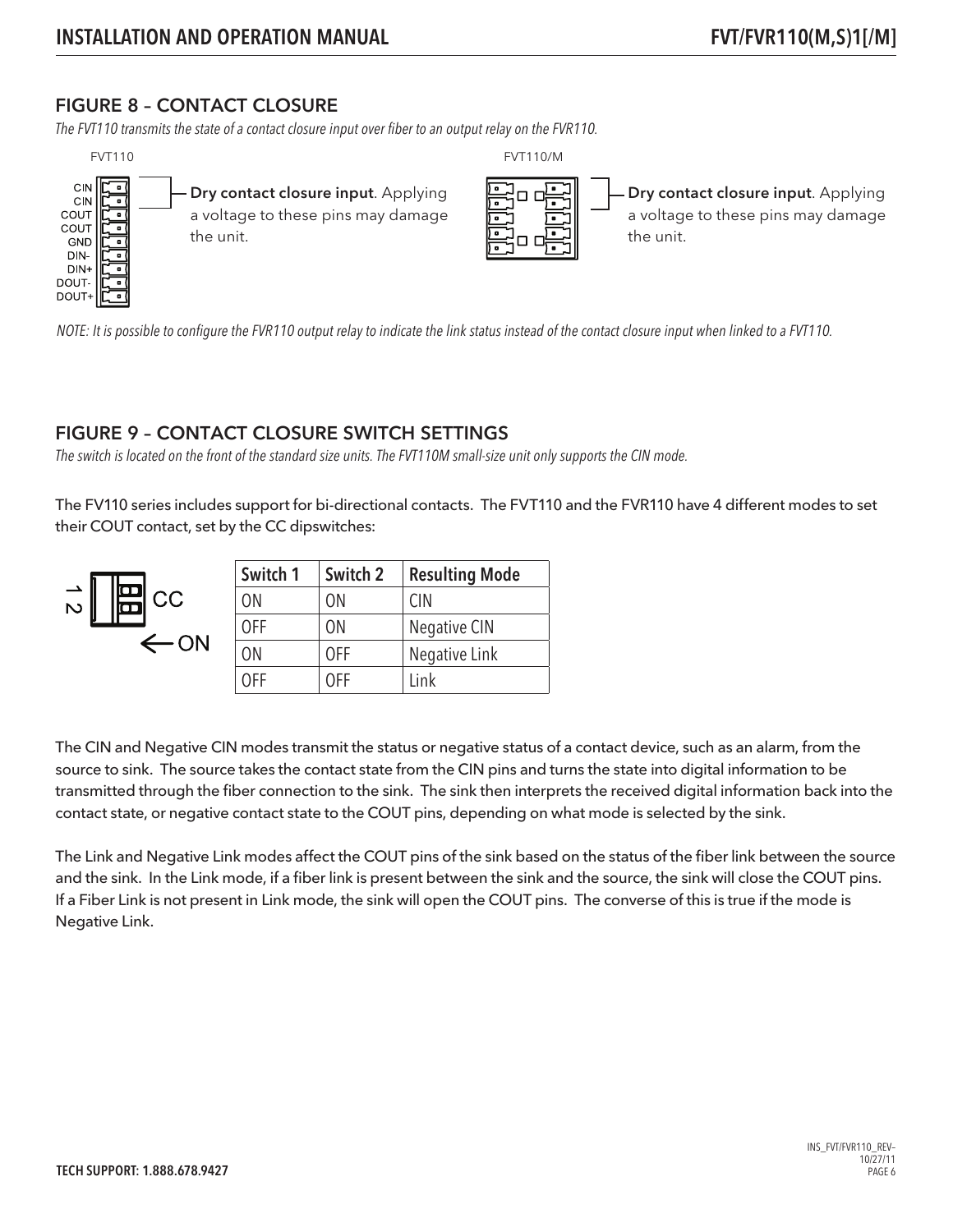### FIGURE 8 – CONTACT CLOSURE

The FVT110 transmits the state of a contact closure input over fiber to an output relay on the FVR110.



 $\overrightarrow{S}$ 

Dry contact closure input. Applying a voltage to these pins may damage the unit.

Dry contact closure input. Applying a voltage to these pins may damage the unit.

NOTE: It is possible to configure the FVR110 output relay to indicate the link status instead of the contact closure input when linked to a FVT110.

#### FIGURE 9 – CONTACT CLOSURE SWITCH SETTINGS

The switch is located on the front of the standard size units. The FVT110M small-size unit only supports the CIN mode.

The FV110 series includes support for bi-directional contacts. The FVT110 and the FVR110 have 4 different modes to set their COUT contact, set by the CC dipswitches:

|                                            | Switch 1       | Switch 2       | <b>Resulting Mode</b> |
|--------------------------------------------|----------------|----------------|-----------------------|
| $\left  \underline{\mathbf{m}} \right $ cc | 0 <sub>N</sub> | ON             | <b>CIN</b>            |
|                                            | <b>OFF</b>     | 0 <sub>N</sub> | Negative CIN          |
| $\leftarrow$ ON                            | 0N             | 0FF            | Negative Link         |
|                                            | 0FF            | 0FF            | Link                  |

The CIN and Negative CIN modes transmit the status or negative status of a contact device, such as an alarm, from the source to sink. The source takes the contact state from the CIN pins and turns the state into digital information to be transmitted through the fiber connection to the sink. The sink then interprets the received digital information back into the contact state, or negative contact state to the COUT pins, depending on what mode is selected by the sink.

The Link and Negative Link modes affect the COUT pins of the sink based on the status of the fiber link between the source and the sink. In the Link mode, if a fiber link is present between the sink and the source, the sink will close the COUT pins. If a Fiber Link is not present in Link mode, the sink will open the COUT pins. The converse of this is true if the mode is Negative Link.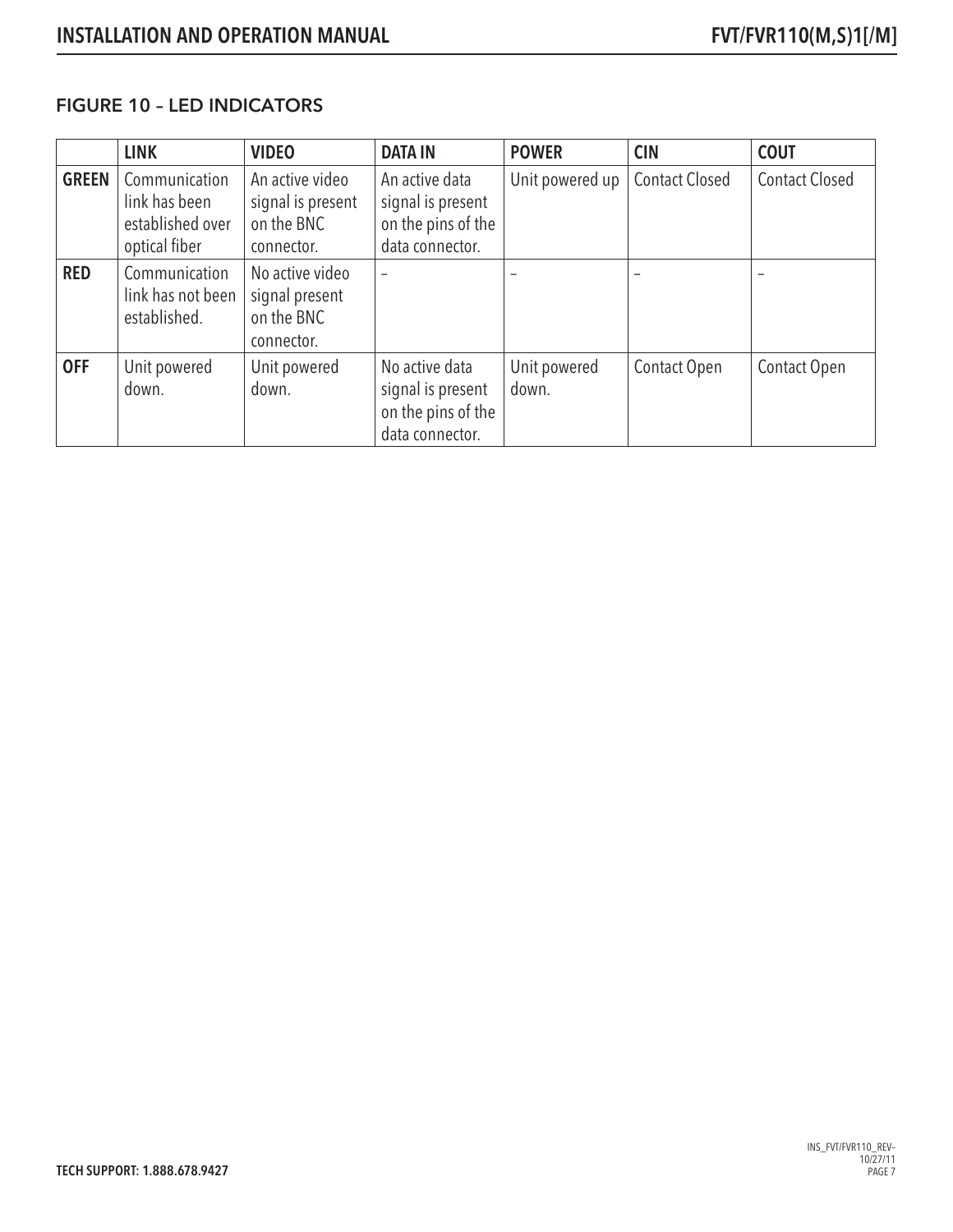#### FIGURE 10 – LED INDICATORS

|              | <b>LINK</b>                                                         | <b>VIDEO</b>                                                     | <b>DATA IN</b>                                                               | <b>POWER</b>          | <b>CIN</b>            | <b>COUT</b>           |
|--------------|---------------------------------------------------------------------|------------------------------------------------------------------|------------------------------------------------------------------------------|-----------------------|-----------------------|-----------------------|
| <b>GREEN</b> | Communication<br>link has been<br>established over<br>optical fiber | An active video<br>signal is present<br>on the BNC<br>connector. | An active data<br>signal is present<br>on the pins of the<br>data connector. | Unit powered up       | <b>Contact Closed</b> | <b>Contact Closed</b> |
| <b>RED</b>   | Communication<br>link has not been<br>established.                  | No active video<br>signal present<br>on the BNC<br>connector.    | $\overline{\phantom{0}}$                                                     |                       |                       |                       |
| <b>OFF</b>   | Unit powered<br>down.                                               | Unit powered<br>down.                                            | No active data<br>signal is present<br>on the pins of the<br>data connector. | Unit powered<br>down. | Contact Open          | Contact Open          |